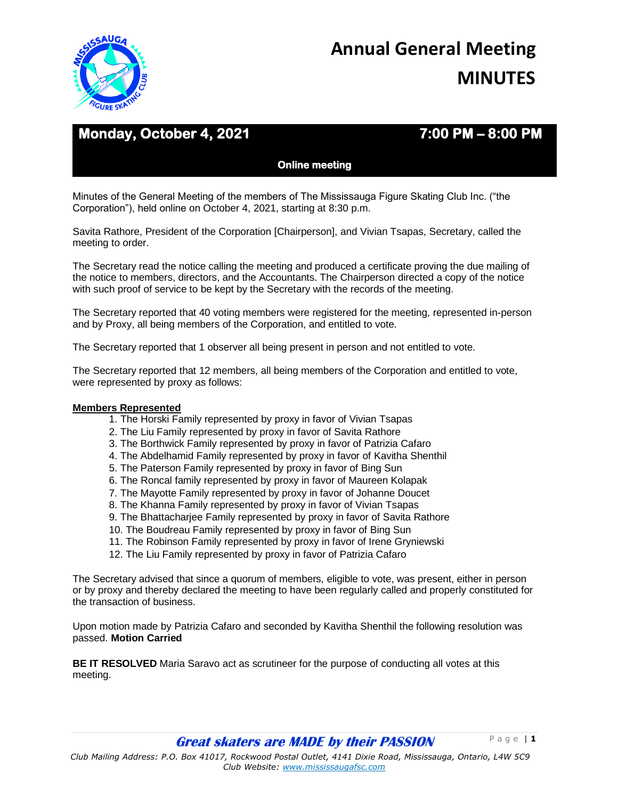

# **Monday, October 4, 2021 7:00 PM – 8:00 PM**

**Online meeting** 

Minutes of the General Meeting of the members of The Mississauga Figure Skating Club Inc. ("the Corporation"), held online on October 4, 2021, starting at 8:30 p.m.

Savita Rathore, President of the Corporation [Chairperson], and Vivian Tsapas, Secretary, called the meeting to order.

The Secretary read the notice calling the meeting and produced a certificate proving the due mailing of the notice to members, directors, and the Accountants. The Chairperson directed a copy of the notice with such proof of service to be kept by the Secretary with the records of the meeting.

The Secretary reported that 40 voting members were registered for the meeting, represented in-person and by Proxy, all being members of the Corporation, and entitled to vote.

The Secretary reported that 1 observer all being present in person and not entitled to vote.

The Secretary reported that 12 members, all being members of the Corporation and entitled to vote, were represented by proxy as follows:

## **Members Represented**

- 1. The Horski Family represented by proxy in favor of Vivian Tsapas
- 2. The Liu Family represented by proxy in favor of Savita Rathore
- 3. The Borthwick Family represented by proxy in favor of Patrizia Cafaro
- 4. The Abdelhamid Family represented by proxy in favor of Kavitha Shenthil
- 5. The Paterson Family represented by proxy in favor of Bing Sun
- 6. The Roncal family represented by proxy in favor of Maureen Kolapak
- 7. The Mayotte Family represented by proxy in favor of Johanne Doucet
- 8. The Khanna Family represented by proxy in favor of Vivian Tsapas
- 9. The Bhattacharjee Family represented by proxy in favor of Savita Rathore
- 10. The Boudreau Family represented by proxy in favor of Bing Sun
- 11. The Robinson Family represented by proxy in favor of Irene Gryniewski
- 12. The Liu Family represented by proxy in favor of Patrizia Cafaro

The Secretary advised that since a quorum of members, eligible to vote, was present, either in person or by proxy and thereby declared the meeting to have been regularly called and properly constituted for the transaction of business.

Upon motion made by Patrizia Cafaro and seconded by Kavitha Shenthil the following resolution was passed. **Motion Carried** 

**BE IT RESOLVED** Maria Saravo act as scrutineer for the purpose of conducting all votes at this meeting.

**Great skaters are MADE by their PASSION**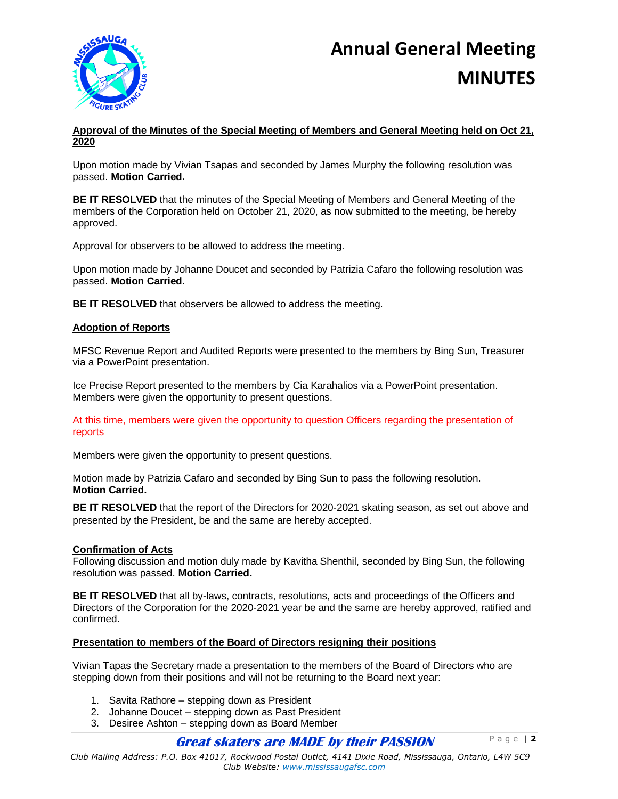

## **Approval of the Minutes of the Special Meeting of Members and General Meeting held on Oct 21, 2020**

Upon motion made by Vivian Tsapas and seconded by James Murphy the following resolution was passed. **Motion Carried.** 

**BE IT RESOLVED** that the minutes of the Special Meeting of Members and General Meeting of the members of the Corporation held on October 21, 2020, as now submitted to the meeting, be hereby approved.

Approval for observers to be allowed to address the meeting.

Upon motion made by Johanne Doucet and seconded by Patrizia Cafaro the following resolution was passed. **Motion Carried.** 

**BE IT RESOLVED** that observers be allowed to address the meeting.

## **Adoption of Reports**

MFSC Revenue Report and Audited Reports were presented to the members by Bing Sun, Treasurer via a PowerPoint presentation.

Ice Precise Report presented to the members by Cia Karahalios via a PowerPoint presentation. Members were given the opportunity to present questions.

At this time, members were given the opportunity to question Officers regarding the presentation of reports

Members were given the opportunity to present questions.

Motion made by Patrizia Cafaro and seconded by Bing Sun to pass the following resolution. **Motion Carried.** 

**BE IT RESOLVED** that the report of the Directors for 2020-2021 skating season, as set out above and presented by the President, be and the same are hereby accepted.

## **Confirmation of Acts**

Following discussion and motion duly made by Kavitha Shenthil, seconded by Bing Sun, the following resolution was passed. **Motion Carried.**

**BE IT RESOLVED** that all by-laws, contracts, resolutions, acts and proceedings of the Officers and Directors of the Corporation for the 2020-2021 year be and the same are hereby approved, ratified and confirmed.

#### **Presentation to members of the Board of Directors resigning their positions**

Vivian Tapas the Secretary made a presentation to the members of the Board of Directors who are stepping down from their positions and will not be returning to the Board next year:

- 1. Savita Rathore stepping down as President
- 2. Johanne Doucet stepping down as Past President
- 3. Desiree Ashton stepping down as Board Member

# **Great skaters are MADE by their PASSION**

P a g e | **2**

*Club Mailing Address: P.O. Box 41017, Rockwood Postal Outlet, 4141 Dixie Road, Mississauga, Ontario, L4W 5C9 Club Website: www.mississaugafsc.com*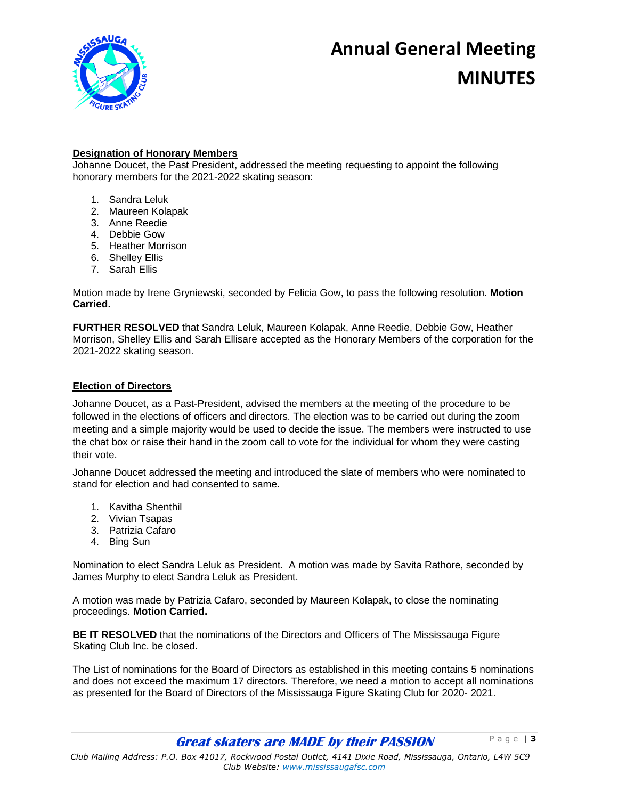

# **Designation of Honorary Members**

Johanne Doucet, the Past President, addressed the meeting requesting to appoint the following honorary members for the 2021-2022 skating season:

- 1. Sandra Leluk
- 2. Maureen Kolapak
- 3. Anne Reedie
- 4. Debbie Gow
- 5. Heather Morrison
- 6. Shelley Ellis
- 7. Sarah Ellis

Motion made by Irene Gryniewski, seconded by Felicia Gow, to pass the following resolution. **Motion Carried.** 

**FURTHER RESOLVED** that Sandra Leluk, Maureen Kolapak, Anne Reedie, Debbie Gow, Heather Morrison, Shelley Ellis and Sarah Ellisare accepted as the Honorary Members of the corporation for the 2021-2022 skating season.

## **Election of Directors**

Johanne Doucet, as a Past-President, advised the members at the meeting of the procedure to be followed in the elections of officers and directors. The election was to be carried out during the zoom meeting and a simple majority would be used to decide the issue. The members were instructed to use the chat box or raise their hand in the zoom call to vote for the individual for whom they were casting their vote.

Johanne Doucet addressed the meeting and introduced the slate of members who were nominated to stand for election and had consented to same.

- 1. Kavitha Shenthil
- 2. Vivian Tsapas
- 3. Patrizia Cafaro
- 4. Bing Sun

Nomination to elect Sandra Leluk as President. A motion was made by Savita Rathore, seconded by James Murphy to elect Sandra Leluk as President.

A motion was made by Patrizia Cafaro, seconded by Maureen Kolapak, to close the nominating proceedings. **Motion Carried.** 

**BE IT RESOLVED** that the nominations of the Directors and Officers of The Mississauga Figure Skating Club Inc. be closed.

The List of nominations for the Board of Directors as established in this meeting contains 5 nominations and does not exceed the maximum 17 directors. Therefore, we need a motion to accept all nominations as presented for the Board of Directors of the Mississauga Figure Skating Club for 2020- 2021.

**Great skaters are MADE by their PASSION**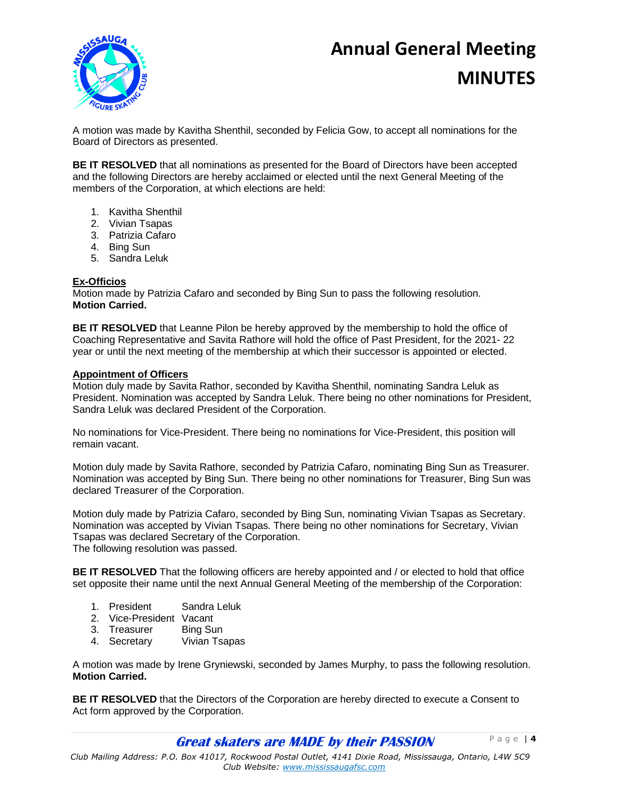# **Annual General Meeting**



# **MINUTES**

A motion was made by Kavitha Shenthil, seconded by Felicia Gow, to accept all nominations for the Board of Directors as presented.

**BE IT RESOLVED** that all nominations as presented for the Board of Directors have been accepted and the following Directors are hereby acclaimed or elected until the next General Meeting of the members of the Corporation, at which elections are held:

- 1. Kavitha Shenthil
- 2. Vivian Tsapas
- 3. Patrizia Cafaro
- 4. Bing Sun
- 5. Sandra Leluk

### **Ex-Officios**

Motion made by Patrizia Cafaro and seconded by Bing Sun to pass the following resolution. **Motion Carried.** 

**BE IT RESOLVED** that Leanne Pilon be hereby approved by the membership to hold the office of Coaching Representative and Savita Rathore will hold the office of Past President, for the 2021- 22 year or until the next meeting of the membership at which their successor is appointed or elected.

### **Appointment of Officers**

Motion duly made by Savita Rathor, seconded by Kavitha Shenthil, nominating Sandra Leluk as President. Nomination was accepted by Sandra Leluk. There being no other nominations for President, Sandra Leluk was declared President of the Corporation.

No nominations for Vice-President. There being no nominations for Vice-President, this position will remain vacant.

Motion duly made by Savita Rathore, seconded by Patrizia Cafaro, nominating Bing Sun as Treasurer. Nomination was accepted by Bing Sun. There being no other nominations for Treasurer, Bing Sun was declared Treasurer of the Corporation.

Motion duly made by Patrizia Cafaro, seconded by Bing Sun, nominating Vivian Tsapas as Secretary. Nomination was accepted by Vivian Tsapas. There being no other nominations for Secretary, Vivian Tsapas was declared Secretary of the Corporation.

The following resolution was passed.

**BE IT RESOLVED** That the following officers are hereby appointed and / or elected to hold that office set opposite their name until the next Annual General Meeting of the membership of the Corporation:

- 1. President Sandra Leluk
- 2. Vice-President Vacant
- 3. Treasurer Bing Sun
- 4. Secretary Vivian Tsapas

A motion was made by Irene Gryniewski, seconded by James Murphy, to pass the following resolution. **Motion Carried.** 

**BE IT RESOLVED** that the Directors of the Corporation are hereby directed to execute a Consent to Act form approved by the Corporation.

**Great skaters are MADE by their PASSION** 

P a g e | **4**